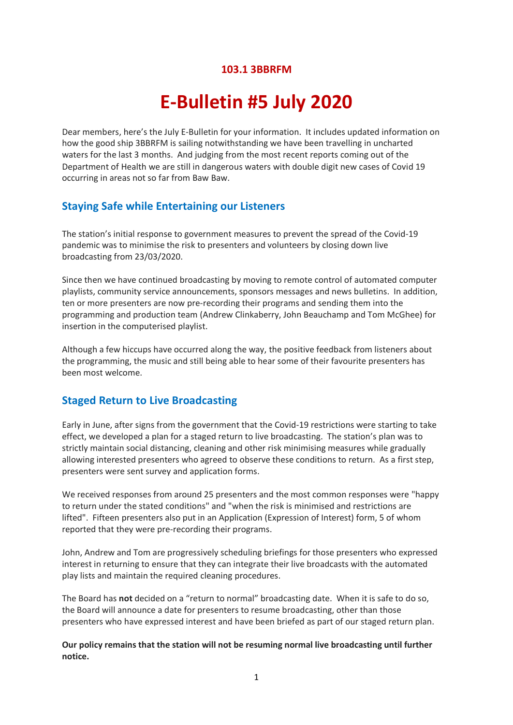#### **103.1 3BBRFM**

# **E-Bulletin #5 July 2020**

Dear members, here's the July E-Bulletin for your information. It includes updated information on how the good ship 3BBRFM is sailing notwithstanding we have been travelling in uncharted waters for the last 3 months. And judging from the most recent reports coming out of the Department of Health we are still in dangerous waters with double digit new cases of Covid 19 occurring in areas not so far from Baw Baw.

## **Staying Safe while Entertaining our Listeners**

The station's initial response to government measures to prevent the spread of the Covid-19 pandemic was to minimise the risk to presenters and volunteers by closing down live broadcasting from 23/03/2020.

Since then we have continued broadcasting by moving to remote control of automated computer playlists, community service announcements, sponsors messages and news bulletins. In addition, ten or more presenters are now pre-recording their programs and sending them into the programming and production team (Andrew Clinkaberry, John Beauchamp and Tom McGhee) for insertion in the computerised playlist.

Although a few hiccups have occurred along the way, the positive feedback from listeners about the programming, the music and still being able to hear some of their favourite presenters has been most welcome.

#### **Staged Return to Live Broadcasting**

Early in June, after signs from the government that the Covid-19 restrictions were starting to take effect, we developed a plan for a staged return to live broadcasting. The station's plan was to strictly maintain social distancing, cleaning and other risk minimising measures while gradually allowing interested presenters who agreed to observe these conditions to return. As a first step, presenters were sent survey and application forms.

We received responses from around 25 presenters and the most common responses were "happy to return under the stated conditions" and "when the risk is minimised and restrictions are lifted". Fifteen presenters also put in an Application (Expression of Interest) form, 5 of whom reported that they were pre-recording their programs.

John, Andrew and Tom are progressively scheduling briefings for those presenters who expressed interest in returning to ensure that they can integrate their live broadcasts with the automated play lists and maintain the required cleaning procedures.

The Board has **not** decided on a "return to normal" broadcasting date. When it is safe to do so, the Board will announce a date for presenters to resume broadcasting, other than those presenters who have expressed interest and have been briefed as part of our staged return plan.

**Our policy remains that the station will not be resuming normal live broadcasting until further notice.**